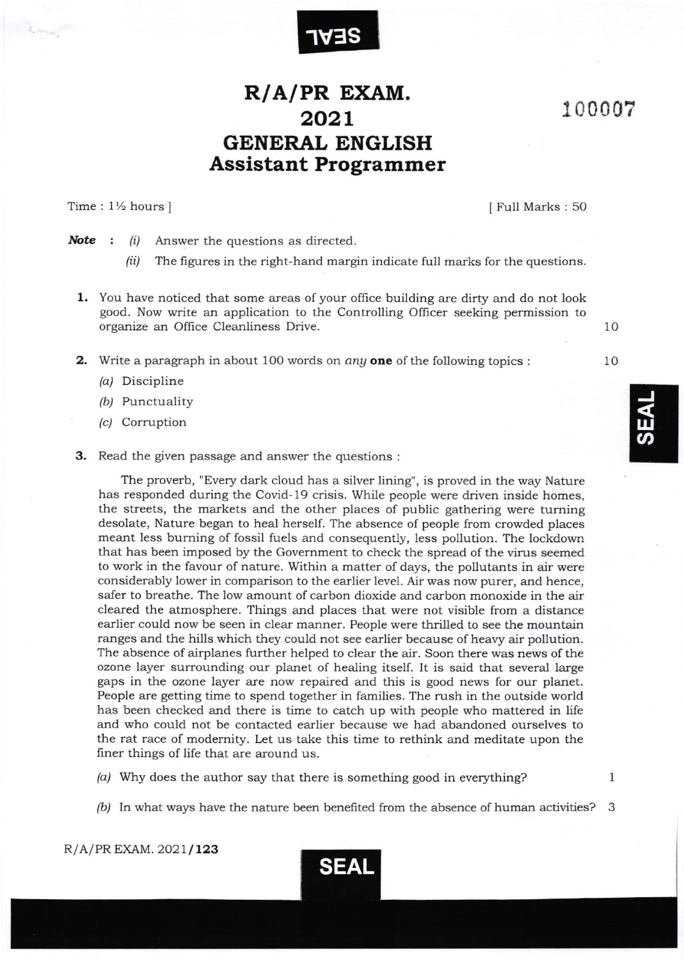

## $R/A/PR$  EXAM. 2021 GENERAL ENGLISH Assistant Programmer

Time : 1½ hours ]  $\boxed{\text{Full Marks} : 50}$ 

100007

**Note** :  $(i)$  Answer the questions as directed.

- $(ii)$  The figures in the right-hand margin indicate full marks for the questions.
- 1. You have noticed that some areas ofyour office building are dirty and do not look good. Now write an application to the Controlling Officer seeking permission to organize an Office Cleanliness Drive.
- **2.** Write a paragraph in about 100 words on *any* one of the following topics :
	- /a/ Discipline
	- /b/ Punctuality
	- /c/ Corruption
- 3. Read the given passage and answer the questions :

The proverb, "Every dark cloud has a silver lining", is proved in the way Nature has responded during the Covid-19 crisis. While people were driven inside homes, the streets, the markets and the other places of public gathering were turning desolate, Nature began to heal herself. The absence of people from crowded places meant less burning of fossil fuels and consequently, less pollution. The lockdown that has been imposed by the Government to check the spread of the virus seemed to work in the favour of nature. Within a matter of days, the pollutants in air were considerably lower in comparison to the eadier level. Air was now purer, and hence, safer to breathe. The low amount of carbon dioxide and carbon monoxide in the air cleared the atmosphere. Things and places that were not visible from a distance earlier could now be seen in clear manner. People were thrilled to see the mountain ranges and the hills which they could not see earlier because of heavy air pollution. The absence of airplanes further helped to clear the air. Soon there was news of the ozone layer surrounding our planet of healing itself. It is said that several large gaps in the ozone layer are now repaired and this is good news for our planet. People are getting time to spend together in families. The rush in the outside world has been checked and there is time to catch up with people who mattered in life and who could not be contacted earlier because we had abandoned ourselves to the rat race of modernity. Let us take this time to rethink and meditate upon the finer things of life that are around us.

- (a) Why does the author say that there is something good in everything?
- $(b)$  In what ways have the nature been benefited from the absence of human activities? 3



J  $\mathbf{\overline{u}}$  $\overline{\boldsymbol{\mathsf{D}}}$ 

10

10

1